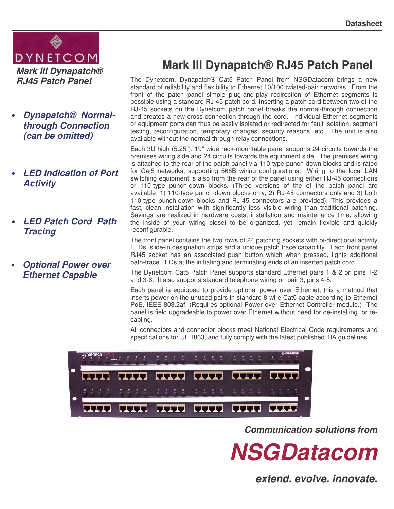

- *Dynapatch® Normalthrough Connection (can be omitted)*
- *LED Indication of Port Activity*
- *LED Patch Cord Path Tracing*
- *Optional Power over Ethernet Capable*

# **Mark III Dynapatch® RJ45 Patch Panel**

The Dynetcom, Dynapatch® Cat5 Patch Panel from NSGDatacom brings a new standard of reliability and flexibility to Ethernet 10/100 twisted-pair networks. From the front of the patch panel simple plug-and-play redirection of Ethernet segments is possible using a standard RJ-45 patch cord. Inserting a patch cord between two of the RJ-45 sockets on the Dynetcom patch panel breaks the normal-through connection and creates a new cross-connection through the cord. Individual Ethernet segments or equipment ports can thus be easily isolated or redirected for fault isolation, segment testing, reconfiguration, temporary changes, security reasons, etc. The unit is also available without the normal through relay connections.

Each 3U high (5.25"), 19" wide rack-mountable panel supports 24 circuits towards the premises wiring side and 24 circuits towards the equipment side. The premises wiring is attached to the rear of the patch panel via 110-type punch-down blocks and is rated for Cat5 networks, supporting 568B wiring configurations. Wiring to the local LAN switching equipment is also from the rear of the panel using either RJ-45 connections or 110-type punch-down blocks. (Three versions of the of the patch panel are available; 1) 110-type punch-down blocks only, 2) RJ-45 connectors only and 3) both 110-type punch-down blocks and RJ-45 connectors are provided). This provides a fast, clean installation with significantly less visible wiring than traditional patching. Savings are realized in hardware costs, installation and maintenance time, allowing the inside of your wiring closet to be organized, yet remain flexible and quickly reconfigurable.

The front panel contains the two rows of 24 patching sockets with bi-directional activity LEDs, slide-in designation strips and a unique patch trace capability. Each front panel RJ45 socket has an associated push button which when pressed, lights additional path-trace LEDs at the initiating and terminating ends of an inserted patch cord.

The Dynetcom Cat5 Patch Panel supports standard Ethernet pairs 1 & 2 on pins 1-2 and 3-6. It also supports standard telephone wiring on pair 3, pins 4-5.

Each panel is equipped to provide optional power over Ethernet, this a method that inserts power on the unused pairs in standard 8-wire Cat5 cable according to Ethernet PoE, IEEE 803.2af. (Requires optional Power over Ethernet Controller module.) The panel is field upgradeable to power over Ethernet without need for de-installing or recabling.

All connectors and connector blocks meet National Electrical Code requirements and specifications for UL 1863, and fully comply with the latest published TIA guidelines.



*Communication solutions from*



*extend. evolve. innovate.*